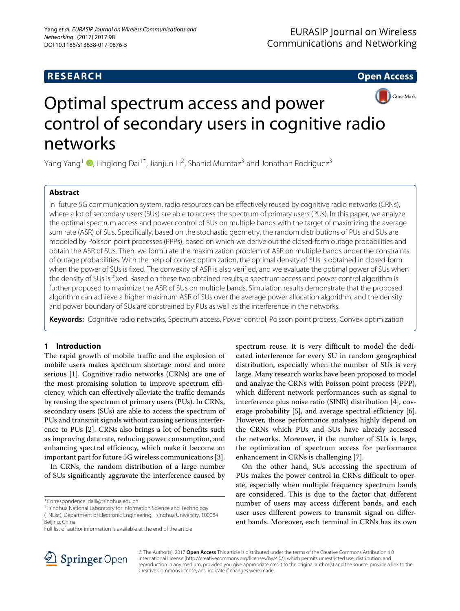## **RESEARCH Open Access**



# Optimal spectrum access and power control of secondary users in cognitive radio networks

Yang Yang<sup>1</sup>  $\bullet$ [,](http://orcid.org/0000-0002-9817-3473) Linglong Dai<sup>1\*</sup>, Jianjun Li<sup>2</sup>, Shahid Mumtaz<sup>3</sup> and Jonathan Rodriguez<sup>3</sup>

#### **Abstract**

In future 5G communication system, radio resources can be effectively reused by cognitive radio networks (CRNs), where a lot of secondary users (SUs) are able to access the spectrum of primary users (PUs). In this paper, we analyze the optimal spectrum access and power control of SUs on multiple bands with the target of maximizing the average sum rate (ASR) of SUs. Specifically, based on the stochastic geometry, the random distributions of PUs and SUs are modeled by Poisson point processes (PPPs), based on which we derive out the closed-form outage probabilities and obtain the ASR of SUs. Then, we formulate the maximization problem of ASR on multiple bands under the constraints of outage probabilities. With the help of convex optimization, the optimal density of SUs is obtained in closed-form when the power of SUs is fixed. The convexity of ASR is also verified, and we evaluate the optimal power of SUs when the density of SUs is fixed. Based on these two obtained results, a spectrum access and power control algorithm is further proposed to maximize the ASR of SUs on multiple bands. Simulation results demonstrate that the proposed algorithm can achieve a higher maximum ASR of SUs over the average power allocation algorithm, and the density and power boundary of SUs are constrained by PUs as well as the interference in the networks.

**Keywords:** Cognitive radio networks, Spectrum access, Power control, Poisson point process, Convex optimization

#### **1 Introduction**

The rapid growth of mobile traffic and the explosion of mobile users makes spectrum shortage more and more serious [\[1\]](#page-14-0). Cognitive radio networks (CRNs) are one of the most promising solution to improve spectrum efficiency, which can effectively alleviate the traffic demands by reusing the spectrum of primary users (PUs). In CRNs, secondary users (SUs) are able to access the spectrum of PUs and transmit signals without causing serious interference to PUs [\[2\]](#page-14-1). CRNs also brings a lot of benefits such as improving data rate, reducing power consumption, and enhancing spectral efficiency, which make it become an important part for future 5G wireless communications [\[3\]](#page-14-2).

In CRNs, the random distribution of a large number of SUs significantly aggravate the interference caused by

\*Correspondence: [daill@tsinghua.edu.cn](mailto: daill@tsinghua.edu.cn)

<sup>1</sup>Tsinghua National Laboratory for Information Science and Technology (TNList), Department of Electronic Engineering, Tsinghua University, 100084 Beijing, China

spectrum reuse. It is very difficult to model the dedicated interference for every SU in random geographical distribution, especially when the number of SUs is very large. Many research works have been proposed to model and analyze the CRNs with Poisson point process (PPP), which different network performances such as signal to interference plus noise ratio (SINR) distribution [\[4\]](#page-14-3), coverage probability [\[5\]](#page-14-4), and average spectral efficiency [\[6\]](#page-14-5). However, those performance analyses highly depend on the CRNs which PUs and SUs have already accessed the networks. Moreover, if the number of SUs is large, the optimization of spectrum access for performance enhancement in CRNs is challenging [\[7\]](#page-14-6).

On the other hand, SUs accessing the spectrum of PUs makes the power control in CRNs difficult to operate, especially when multiple frequency spectrum bands are considered. This is due to the factor that different number of users may access different bands, and each user uses different powers to transmit signal on different bands. Moreover, each terminal in CRNs has its own



© The Author(s). 2017 **Open Access** This article is distributed under the terms of the Creative Commons Attribution 4.0 International License [\(http://creativecommons.org/licenses/by/4.0/\)](http://creativecommons.org/licenses/by/4.0/), which permits unrestricted use, distribution, and reproduction in any medium, provided you give appropriate credit to the original author(s) and the source, provide a link to the Creative Commons license, and indicate if changes were made.

Full list of author information is available at the end of the article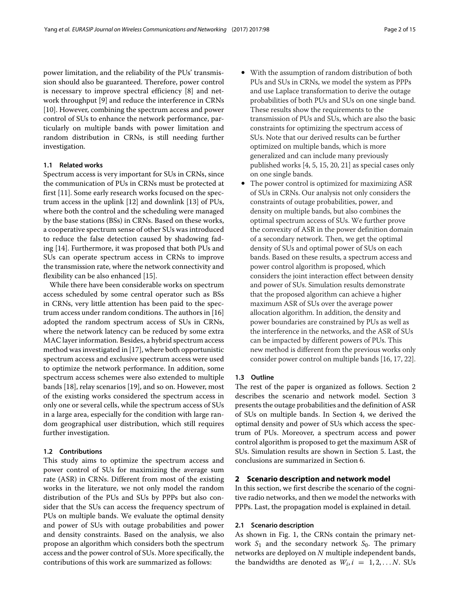power limitation, and the reliability of the PUs' transmission should also be guaranteed. Therefore, power control is necessary to improve spectral efficiency [\[8\]](#page-14-7) and network throughput [\[9\]](#page-14-8) and reduce the interference in CRNs [\[10\]](#page-14-9). However, combining the spectrum access and power control of SUs to enhance the network performance, particularly on multiple bands with power limitation and random distribution in CRNs, is still needing further investigation.

#### **1.1 Related works**

Spectrum access is very important for SUs in CRNs, since the communication of PUs in CRNs must be protected at first [\[11\]](#page-14-10). Some early research works focused on the spectrum access in the uplink [\[12\]](#page-14-11) and downlink [\[13\]](#page-14-12) of PUs, where both the control and the scheduling were managed by the base stations (BSs) in CRNs. Based on these works, a cooperative spectrum sense of other SUs was introduced to reduce the false detection caused by shadowing fading [\[14\]](#page-14-13). Furthermore, it was proposed that both PUs and SUs can operate spectrum access in CRNs to improve the transmission rate, where the network connectivity and flexibility can be also enhanced [\[15\]](#page-14-14).

While there have been considerable works on spectrum access scheduled by some central operator such as BSs in CRNs, very little attention has been paid to the spectrum access under random conditions. The authors in [\[16\]](#page-14-15) adopted the random spectrum access of SUs in CRNs, where the network latency can be reduced by some extra MAC layer information. Besides, a hybrid spectrum access method was investigated in [\[17\]](#page-14-16), where both opportunistic spectrum access and exclusive spectrum access were used to optimize the network performance. In addition, some spectrum access schemes were also extended to multiple bands [\[18\]](#page-14-17), relay scenarios [\[19\]](#page-14-18), and so on. However, most of the existing works considered the spectrum access in only one or several cells, while the spectrum access of SUs in a large area, especially for the condition with large random geographical user distribution, which still requires further investigation.

#### **1.2 Contributions**

This study aims to optimize the spectrum access and power control of SUs for maximizing the average sum rate (ASR) in CRNs. Different from most of the existing works in the literature, we not only model the random distribution of the PUs and SUs by PPPs but also consider that the SUs can access the frequency spectrum of PUs on multiple bands. We evaluate the optimal density and power of SUs with outage probabilities and power and density constraints. Based on the analysis, we also propose an algorithm which considers both the spectrum access and the power control of SUs. More specifically, the contributions of this work are summarized as follows:

- With the assumption of random distribution of both PUs and SUs in CRNs, we model the system as PPPs and use Laplace transformation to derive the outage probabilities of both PUs and SUs on one single band. These results show the requirements to the transmission of PUs and SUs, which are also the basic constraints for optimizing the spectrum access of SUs. Note that our derived results can be further optimized on multiple bands, which is more generalized and can include many previously published works [\[4,](#page-14-3) [5,](#page-14-4) [15,](#page-14-14) [20,](#page-14-19) [21\]](#page-14-20) as special cases only on one single bands.
- The power control is optimized for maximizing ASR of SUs in CRNs. Our analysis not only considers the constraints of outage probabilities, power, and density on multiple bands, but also combines the optimal spectrum access of SUs. We further prove the convexity of ASR in the power definition domain of a secondary network. Then, we get the optimal density of SUs and optimal power of SUs on each bands. Based on these results, a spectrum access and power control algorithm is proposed, which considers the joint interaction effect between density and power of SUs. Simulation results demonstrate that the proposed algorithm can achieve a higher maximum ASR of SUs over the average power allocation algorithm. In addition, the density and power boundaries are constrained by PUs as well as the interference in the networks, and the ASR of SUs can be impacted by different powers of PUs. This new method is different from the previous works only consider power control on multiple bands [\[16,](#page-14-15) [17,](#page-14-16) [22\]](#page-14-21).

#### **1.3 Outline**

The rest of the paper is organized as follows. Section [2](#page-1-0) describes the scenario and network model. Section [3](#page-2-0) presents the outage probabilities and the definition of ASR of SUs on multiple bands. In Section [4,](#page-3-0) we derived the optimal density and power of SUs which access the spectrum of PUs. Moreover, a spectrum access and power control algorithm is proposed to get the maximum ASR of SUs. Simulation results are shown in Section [5.](#page-6-0) Last, the conclusions are summarized in Section [6.](#page-11-0)

#### <span id="page-1-0"></span>**2 Scenario description and network model**

In this section, we first describe the scenario of the cognitive radio networks, and then we model the networks with PPPs. Last, the propagation model is explained in detail.

#### **2.1 Scenario description**

As shown in Fig. [1,](#page-2-1) the CRNs contain the primary network  $S_1$  and the secondary network  $S_0$ . The primary networks are deployed on *N* multiple independent bands, the bandwidths are denoted as  $W_i$ ,  $i = 1, 2, \ldots N$ . SUs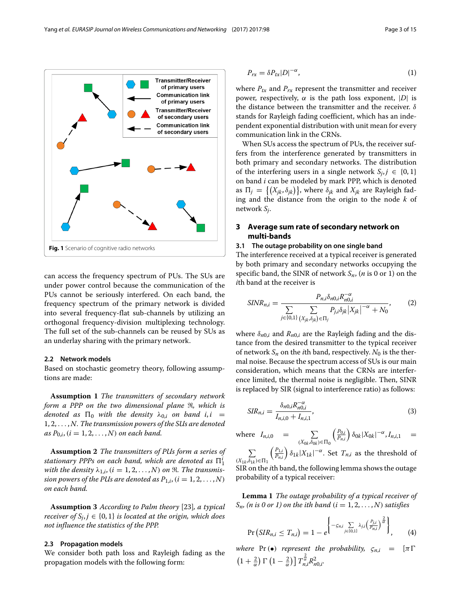

<span id="page-2-1"></span>can access the frequency spectrum of PUs. The SUs are under power control because the communication of the PUs cannot be seriously interfered. On each band, the frequency spectrum of the primary network is divided into several frequency-flat sub-channels by utilizing an orthogonal frequency-division multiplexing technology. The full set of the sub-channels can be reused by SUs as an underlay sharing with the primary network.

#### **2.2 Network models**

Based on stochastic geometry theory, following assumptions are made:

**Assumption 1** *The transmitters of secondary network* form a PPP on the two dimensional plane  $\mathfrak{R}% _{n}^{1}$ , which is  $d$ *enoted as*  $\Pi_0$  *with the density*  $\lambda_{0,i}$  *on band i,i* = 1, 2, ... , *N. The transmission powers of the SUs are denoted*  $as P_{0,i}$ , ( $i = 1, 2, ..., N$ ) *on each band.* 

**Assumption 2** *The transmitters of PUs form a series of* stationary PPPs on each band, which are denoted as  $\Pi^i_1$ with the density  $\lambda_{1,i}$ ,  $(i = 1, 2, ..., N)$  on  $\Re$ . The transmis*sion powers of the PUs are denoted as*  $P_{1,i}$ , ( $i = 1, 2, ..., N$ ) *on each band.*

**Assumption 3** *According to Palm theory* [\[23\]](#page-14-22)*, a typical receiver of*  $S_i$ ,  $j \in \{0, 1\}$  *is located at the origin, which does not influence the statistics of the PPP.*

#### **2.3 Propagation models**

We consider both path loss and Rayleigh fading as the propagation models with the following form:

$$
P_{rx} = \delta P_{tx} |D|^{-\alpha},\tag{1}
$$

where  $P_{tx}$  and  $P_{rx}$  represent the transmitter and receiver power, respectively,  $\alpha$  is the path loss exponent,  $|D|$  is the distance between the transmitter and the receiver. δ stands for Rayleigh fading coefficient, which has an independent exponential distribution with unit mean for every communication link in the CRNs.

When SUs access the spectrum of PUs, the receiver suffers from the interference generated by transmitters in both primary and secondary networks. The distribution of the interfering users in a single network  $S_i, j \in \{0, 1\}$ on band *i* can be modeled by mark PPP, which is denoted as  $\Pi_j \,=\, \left\{\left(X_{jk}, \delta_{jk}\right)\right\}$ , where  $\delta_{jk}$  and  $X_{jk}$  are Rayleigh fading and the distance from the origin to the node *k* of network *Sj*.

#### <span id="page-2-0"></span>**3 Average sum rate of secondary network on multi-bands**

#### **3.1 The outage probability on one single band**

The interference received at a typical receiver is generated by both primary and secondary networks occupying the specific band, the SINR of network *Sn*, (*n* is 0 or 1) on the *i*th band at the receiver is

$$
SINR_{n,i} = \frac{P_{n,i} \delta_{n0,i} R_{n0,i}^{-\alpha}}{\sum\limits_{j \in \{0,1\}} \sum\limits_{\{X_{jk}, \delta_{jk}\} \in \Pi_j} P_{j,i} \delta_{jk} \left| X_{jk} \right|^{-\alpha} + N_0},\tag{2}
$$

where  $\delta_{n0,i}$  and  $R_{n0,i}$  are the Rayleigh fading and the distance from the desired transmitter to the typical receiver of network  $S_n$  on the *i*th band, respectively.  $N_0$  is the thermal noise. Because the spectrum access of SUs is our main consideration, which means that the CRNs are interference limited, the thermal noise is negligible. Then, SINR is replaced by SIR (signal to interference ratio) as follows:

<span id="page-2-2"></span>
$$
SIR_{n,i} = \frac{\delta_{n0,i}R_{n0,i}^{-\alpha}}{I_{n,i,0} + I_{n,i,1}},
$$
\n(3)

where  $I_{n,i,0}$  =  $\sum_{i=1}^{n}$  $(X_{0k},\delta_{0k})\in\Pi$ 0  $\left(\frac{P_{0,i}}{P_{n,i}}\right)\delta_{0k}|X_{0k}|^{-\alpha}, I_{n,i,1}$  =

Σ  $(X_{1k}, \delta_{1k}) \in \Pi_1$  $\left(\frac{P_{1,i}}{P_{n,i}}\right)\delta_{1k}|X_{1k}|^{-\alpha}$ . Set  $T_{n,i}$  as the threshold of SIR on the *i*th band, the following lemma shows the outage

probability of a typical receiver:

<span id="page-2-4"></span>**Lemma 1** *The outage probability of a typical receiver of*  $S_n$ , (*n* is 0 or 1) on the ith band ( $i = 1, 2, \ldots, N$ ) satisfies

<span id="page-2-3"></span>
$$
\Pr\left(SIR_{n,i}\leq T_{n,i}\right)=1-e^{\left\{-\varsigma_{n,i}\sum\limits_{j\in[0,1]}\lambda_{j,i}\left(\frac{P_{j,i}}{P_{n,i}}\right)^{\frac{2}{\alpha}}\right\}},\qquad(4)
$$

*where*  $Pr(\bullet)$  *represent the probability,*  $\zeta_{n,i} = [\pi]$  $\left(1+\frac{2}{\alpha}\right) \Gamma\left(1-\frac{2}{\alpha}\right) \right] T_{n,i}^{\frac{2}{\alpha}} R_{n0,i}^{2}.$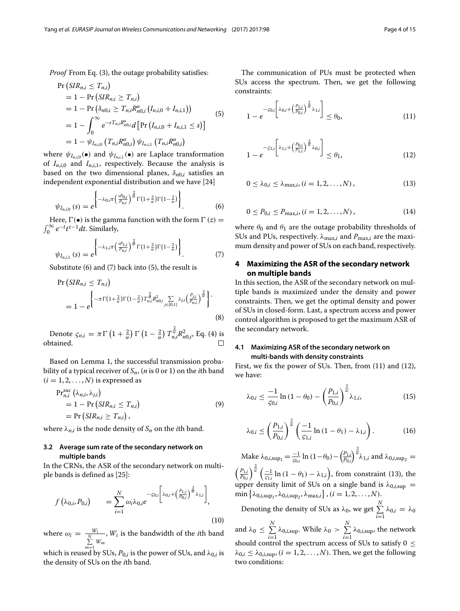*Proof* From Eq. [\(3\)](#page-2-2), the outage probability satisfies:

$$
Pr(SIR_{n,i} \le T_{n,i})
$$
  
= 1 - Pr(SIR\_{n,i} \ge T\_{n,i})  
= 1 - Pr(\delta\_{n0,i} \ge T\_{n,i}R\_{n0,i}^{\alpha}(I\_{n,i,0} + I\_{n,i,1}))  
= 1 - \int\_0^{\infty} e^{-sT\_{n,i}R\_{n0,i}^{\alpha}} d[Pr(I\_{n,i,0} + I\_{n,i,1} \le s)]  
= 1 - \psi\_{I\_{n,i,0}}(T\_{n,i}R\_{n0,i}^{\alpha}) \psi\_{I\_{n,i,1}}(T\_{n,i}R\_{n0,i}^{\alpha})(5)

where  $\psi_{I_{n,i,0}}(\bullet)$  and  $\psi_{I_{n,i,1}}(\bullet)$  are Laplace transformation of  $I_{n,i,0}$  and  $I_{n,i,1}$ , respectively. Because the analysis is based on the two dimensional planes,  $\delta_{n0,i}$  satisfies an independent exponential distribution and we have [\[24\]](#page-14-23)

$$
\psi_{I_{n,i,0}}\left(s\right) = e^{\left\{-\lambda_{0,i}\pi\left(\frac{sP_{0,i}}{P_{n,i}}\right)^{\frac{2}{\alpha}}\Gamma\left(1+\frac{2}{\alpha}\right)\Gamma\left(1-\frac{2}{\alpha}\right)\right\}}.\tag{6}
$$

Here,  $\Gamma(\bullet)$  is the gamma function with the form  $\Gamma(z) =$ <sup>0</sup> *<sup>e</sup>*−*<sup>t</sup> tz*−1*dt*. Similarly,

<span id="page-3-2"></span>
$$
\psi_{I_{n,i,1}}\left(s\right) = e^{\left\{-\lambda_{1,i}\pi\left(\frac{sP_{1,i}}{P_{n,i}}\right)^{\frac{2}{\alpha}}\Gamma\left(1+\frac{2}{\alpha}\right)\Gamma\left(1-\frac{2}{\alpha}\right)\right\}}.\tag{7}
$$

Substitute [\(6\)](#page-3-1) and [\(7\)](#page-3-2) back into [\(5\)](#page-3-3), the result is

$$
\Pr\left(SIR_{n,i} \le T_{n,i}\right) = 1 - e^{\left\{-\pi \Gamma\left(1 + \frac{2}{\alpha}\right) \Gamma\left(1 - \frac{2}{\alpha}\right) T_{n,i}^{\frac{2}{\alpha}} R_{n0,i}^2 \sum_{j \in \{0,1\}} \lambda_{j,i} \left(\frac{P_{j,i}}{P_{n,i}}\right)^{\frac{2}{\alpha}}\right\}}.
$$
\n(8)

Denote  $\zeta_{n,i} = \pi \Gamma \left( 1 + \frac{2}{\alpha} \right) \Gamma \left( 1 - \frac{2}{\alpha} \right) T_{n,i}^{\frac{2}{\alpha}} R_{n0,i}^2$ , Eq. [\(4\)](#page-2-3) is obtained.  $\Box$ 

Based on Lemma [1,](#page-2-4) the successful transmission probability of a typical receiver of *Sn*, (*n* is 0 or 1) on the *i*th band  $(i = 1, 2, \ldots, N)$  is expressed as

$$
\begin{aligned} \Pr_{n,i}^{SUC} \left( \lambda_{n,i}, \lambda_{j,i} \right) \\ &= 1 - \Pr \left( SIR_{n,i} \le T_{n,i} \right) \\ &= \Pr \left( SIR_{n,i} \ge T_{n,i} \right), \end{aligned} \tag{9}
$$

where  $\lambda_{n,i}$  is the node density of  $S_n$  on the *i*th band.

#### **3.2 Average sum rate of the secondary network on multiple bands**

In the CRNs, the ASR of the secondary network on multiple bands is defined as [\[25\]](#page-14-24):

$$
f(\lambda_{0,i}, P_{0,i}) = \sum_{i=1}^{N} \omega_i \lambda_{0,i} e^{-S_{0,i} \left[\lambda_{0,i} + \left(\frac{P_{1,i}}{P_{0,i}}\right)^{\frac{2}{\alpha}} \lambda_{1,i}\right]},
$$
\n(10)

where  $\omega_i = \frac{W_i}{\sum N_i}$  $\sum_{m=1}^{\infty} W_m$ , *Wi* is the bandwidth of the *i*th band

which is reused by SUs,  $P_{0,i}$  is the power of SUs, and  $\lambda_{0,i}$  is the density of SUs on the *i*th band.

<span id="page-3-3"></span>The communication of PUs must be protected when SUs access the spectrum. Then, we get the following constraints:

<span id="page-3-4"></span>
$$
1 - e^{-\varsigma_{0,i}\left[\lambda_{0,i} + \left(\frac{P_{1,i}}{P_{0,i}}\right)^{\frac{2}{\alpha}}\lambda_{1,i}\right]} \leq \theta_0, \tag{11}
$$

<span id="page-3-5"></span>
$$
1 - e^{-\varsigma_{1,i}\left[\lambda_{1,i} + \left(\frac{P_{0,i}}{P_{1,i}}\right)^{\frac{2}{\alpha}}\lambda_{0,i}\right]}} \leq \theta_1,\tag{12}
$$

<span id="page-3-6"></span><span id="page-3-1"></span>
$$
0 \leq \lambda_{0,i} \leq \lambda_{\max,i}, (i = 1, 2, \dots, N), \qquad (13)
$$

<span id="page-3-7"></span>
$$
0 \le P_{0,i} \le P_{\max,i}, (i = 1, 2, ..., N), \tag{14}
$$

where  $\theta_0$  and  $\theta_1$  are the outage probability thresholds of SUs and PUs, respectively.  $\lambda_{\text{max},i}$  and  $P_{\text{max},i}$  are the maximum density and power of SUs on each band, respectively.

#### <span id="page-3-0"></span>**4 Maximizing the ASR of the secondary network on multiple bands**

In this section, the ASR of the secondary network on multiple bands is maximized under the density and power constraints. Then, we get the optimal density and power of SUs in closed-form. Last, a spectrum access and power control algorithm is proposed to get the maximum ASR of the secondary network.

#### **4.1 Maximizing ASR of the secondary network on multi-bands with density constraints**

First, we fix the power of SUs. Then, from [\(11\)](#page-3-4) and [\(12\)](#page-3-5), we have:

<span id="page-3-8"></span>
$$
\lambda_{0,i} \le \frac{-1}{\varsigma_{0,i}} \ln \left( 1 - \theta_0 \right) - \left( \frac{P_{1,i}}{P_{0,i}} \right)^{\frac{2}{\alpha}} \lambda_{1,i},\tag{15}
$$

<span id="page-3-9"></span>
$$
\lambda_{0,i} \le \left(\frac{P_{1,i}}{P_{0,i}}\right)^{\frac{2}{\alpha}} \left(\frac{-1}{\varsigma_{1,i}} \ln\left(1-\theta_1\right) - \lambda_{1,i}\right). \tag{16}
$$

 $\text{Make } λ_{0,i,\text{sup}_1} = \frac{-1}{\varsigma_{0,i}} \ln{(1-\theta_0)} - \left(\frac{P_{1,i}}{P_{0,i}}\right)$  $\frac{(P_{1,i})}{(P_{0,i})}^{\frac{2}{\alpha}}\lambda_{1,i}$  and  $\lambda_{0,i,\sup_{2}}=1$  $\left(\frac{P_{1,i}}{P_{0,i}}\right)^{\frac{2}{\alpha}}\left(\frac{-1}{\varsigma_{1,i}}\ln\left(1-\theta_1\right)-\lambda_{1,i}\right)$ , from constraint [\(13\)](#page-3-6), the upper density limit of SUs on a single band is  $\lambda_{0,i,\text{sup}} =$  $\min\left\{\lambda_{0,i,\sup_1},\lambda_{0,i,\sup_2},\lambda_{\max,i}\right\}$  ,  $(i=1,2,\ldots,N)$ . Denoting the density of SUs as  $\lambda_0$ , we get  $\sum_{i=1}^{N} \lambda_{0,i} = \lambda_0$ *i*=1 and  $\lambda_0 \leq \sum_{i=1}^N$ *i*=1 λ<sub>0,*i*,sup</sub>. While λ<sub>0</sub>  $>$   $\sum^{N}$ *i*=1  $\lambda_{0,i,\mathrm{sup}}$ , the network should control the spectrum access of SUs to satisfy 0 <  $\lambda_{0,i} \leq \lambda_{0,i,\text{sup}}, (i=1,2,\ldots,N)$ . Then, we get the following

two conditions: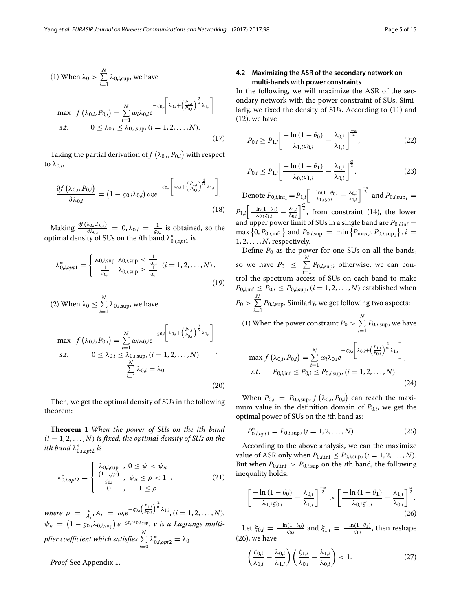(1) When 
$$
\lambda_0 > \sum_{i=1}^N \lambda_{0,i,\text{sup}}
$$
, we have

$$
\max f\left(\lambda_{0,i}, P_{0,i}\right) = \sum_{i=1}^{N} \omega_i \lambda_{0,i} e^{-S_{0,i}\left[\lambda_{0,i} + \left(\frac{P_{1,i}}{P_{0,i}}\right)^{\frac{2}{\alpha}} \lambda_{1,i}\right]}
$$
  
s.t. 
$$
0 \le \lambda_{0,i} \le \lambda_{0,i,\text{sup}}, (i = 1, 2, ..., N).
$$
(17)

Taking the partial derivation of  $f\left( \lambda_{0,i},P_{0,i} \right)$  with respect to  $λ_{0,i}$ ,

$$
\frac{\partial f\left(\lambda_{0,i}, P_{0,i}\right)}{\partial \lambda_{0,i}} = \left(1 - s_{0,i}\lambda_{0,i}\right)\omega_i e^{-s_{0,i}\left[\lambda_{0,i} + \left(\frac{P_{1,i}}{P_{0,i}}\right)^{\frac{2}{\alpha}}\lambda_{1,i}\right]}.
$$
\n(18)

 $\text{Making } \frac{\partial f(\lambda_{0,i}, P_{0,i})}{\partial \lambda_{0,i}} = 0, \lambda_{0,i} = \frac{1}{\varsigma_{0,i}} \text{ is obtained, so the}$ optimal density of SUs on the *i*th band λ∗ 0,*i*,*opt*<sup>1</sup> is

$$
\lambda_{0,i,opt1}^* = \begin{cases} \lambda_{0,i,sup} & \lambda_{0,i,sup} < \frac{1}{S_{0,i}} \\ \frac{1}{S_{0,i}} & \lambda_{0,i,sup} \ge \frac{1}{S_{0,i}} \end{cases} \quad (i = 1, 2, \ldots, N) \,. \tag{19}
$$

(2) When 
$$
\lambda_0 \le \sum_{i=1}^N \lambda_{0,i, \text{sup}}
$$
, we have  
\n
$$
\max f(\lambda_{0,i}, P_{0,i}) = \sum_{i=1}^N \omega_i \lambda_{0,i} e^{-\varsigma_{0,i} \left[ \lambda_{0,i} + \left( \frac{P_{1,i}}{P_{0,i}} \right)^{\frac{2}{\alpha}} \lambda_{1,i} \right]}
$$
\ns.t.  $0 \le \lambda_{0,i} \le \lambda_{0,i, \text{sup}}$ ,  $(i = 1, 2, ..., N)$   
\n
$$
\sum_{i=1}^N \lambda_{0,i} = \lambda_0
$$
\n(20)

Then, we get the optimal density of SUs in the following theorem:

<span id="page-4-2"></span>**Theorem 1** *When the power of SUs on the ith band*  $(i = 1, 2, \ldots, N)$  *is fixed, the optimal density of SUs on the ith band* λ∗ 0,*i*,*opt*<sup>2</sup> *is*

<span id="page-4-3"></span>
$$
\lambda_{0,i,opt2}^{*} = \begin{cases}\n\lambda_{0,i,sup} , 0 \leq \psi < \psi_u \\
\frac{(1-\sqrt{\rho})}{50,i} , \psi_u \leq \rho < 1 , \\
0 , 1 \leq \rho\n\end{cases}
$$
\n(21)

*where*  $\rho = \frac{v}{A_i}, A_i = \omega_i e^{-\zeta_{0,i} \left( \frac{P_{1,i}}{P_{0,i}} \right)^{\frac{2}{\alpha}} \lambda_{1,i}}$ ,  $(i = 1, 2, ..., N)$ .  $\psi_u = (1 - \zeta_{0,i} \lambda_{0,i,\text{sup}}) e^{-\zeta_{0,i} \lambda_{0,i,\text{sup}}}.$  *v* is a Lagrange multi*plier coefficient which satisfies N i*=0  $\lambda_{0,i,opt2}^* = \lambda_0$ .

 $\Box$ 

*Proof* See Appendix [1.](#page-12-0)

**4.2 Maximizing the ASR of the secondary network on multi-bands with power constraints**

In the following, we will maximize the ASR of the secondary network with the power constraint of SUs. Similarly, we fixed the density of SUs. According to [\(11\)](#page-3-4) and [\(12\)](#page-3-5), we have

$$
P_{0,i} \ge P_{1,i} \left[ \frac{-\ln\left(1 - \theta_0\right)}{\lambda_{1,i} \zeta_{0,i}} - \frac{\lambda_{0,i}}{\lambda_{1,i}} \right]^{\frac{-\alpha}{2}},\tag{22}
$$

$$
P_{0,i} \le P_{1,i} \bigg[ \frac{-\ln(1-\theta_1)}{\lambda_{0,i} \zeta_{1,i}} - \frac{\lambda_{1,i}}{\lambda_{0,i}} \bigg]^{\frac{\alpha}{2}}.
$$
 (23)

Denote  $P_{0,i,\inf_1} = P_{1,i} \left[ \frac{-\ln(1-\theta_0)}{\lambda_{1,i} \zeta_{0,i}} - \frac{\lambda_{0,i}}{\lambda_{1,i}} \right]^{-\alpha}$  and  $P_{0,i,\sup_1} =$  $P_{1,i}\left[\frac{-\ln(1-\theta_1)}{\lambda_{0,i}S_{1,i}}-\frac{\lambda_{1,i}}{\lambda_{0,i}}\right]^{\frac{\alpha}{2}}$ , from constraint [\(14\)](#page-3-7), the lower and upper power limit of SUs in a single band are  $P_{0,i,\text{inf}} =$  $\max\left\{0, P_{0,i,\inf_1}\right\}$  and  $P_{0,i,\sup} = \min\left\{P_{\max,i}, P_{0,i,\sup_1}\right\}$ ,  $i =$ 

1, 2, ... , *N*, respectively. Define  $P_0$  as the power for one SUs on all the bands, so we have  $P_0 \leq \sum_{i=1}^{N}$ *i*=1 *P*0,*i*,sup; otherwise, we can control the spectrum access of SUs on each band to make  $P_{0,i,\text{inf}} \leq P_{0,i} \leq P_{0,i,\text{sup}}, (i=1,2,\ldots,N)$  established when  $P_0 > \sum^{N}$ *i*=1 *P*0,*<sup>i</sup>*,sup. Similarly, we get following two aspects:

(1) When the power constraint  $P_0 > \sum^N$ *i*=1 *P*0,*<sup>i</sup>*,sup, we have

$$
\max f\left(\lambda_{0,i}, P_{0,i}\right) = \sum_{i=1}^{N} \omega_i \lambda_{0,i} e^{-\varsigma_{0,i} \left[\lambda_{0,i} + \left(\frac{P_{1,i}}{P_{0,i}}\right)^{\frac{2}{\alpha}} \lambda_{1,i}\right]}.
$$
  
s.t.  $P_{0,i,\inf} \le P_{0,i} \le P_{0,i,\sup}, (i = 1, 2, ..., N)$  (24)

When  $P_{0,i} = P_{0,i,\sup}$ ,  $f(\lambda_{0,i}, P_{0,i})$  can reach the maximum value in the definition domain of *P*0,*i*, we get the optimal power of SUs on the *i*th band as:

$$
P_{0,i,opt1}^* = P_{0,i, \text{sup}}, (i = 1, 2, ..., N). \tag{25}
$$

According to the above analysis, we can the maximize value of ASR only when  $P_{0,i,\text{inf}} \leq P_{0,i,\text{sup}}, (i = 1, 2, ..., N)$ . But when  $P_{0,i,\text{inf}} > P_{0,i,\text{sup}}$  on the *i*th band, the following inequality holds:

<span id="page-4-0"></span>
$$
\left[\frac{-\ln\left(1-\theta_{0}\right)}{\lambda_{1,i} \varsigma_{0,i}} - \frac{\lambda_{0,i}}{\lambda_{1,i}}\right]^{\frac{-\alpha}{2}} > \left[\frac{-\ln\left(1-\theta_{1}\right)}{\lambda_{0,i} \varsigma_{1,i}} - \frac{\lambda_{1,i}}{\lambda_{0,i}}\right]^{\frac{\alpha}{2}}.
$$
\n(26)

Let  $\xi_{0,i} = \frac{-\ln(1-\theta_0)}{\varsigma_{0,i}}$  and  $\xi_{1,i} = \frac{-\ln(1-\theta_1)}{\varsigma_{1,i}}$ , then reshape [\(26\)](#page-4-0), we have

<span id="page-4-1"></span>
$$
\left(\frac{\xi_{0,i}}{\lambda_{1,i}}-\frac{\lambda_{0,i}}{\lambda_{1,i}}\right)\left(\frac{\xi_{1,i}}{\lambda_{0,i}}-\frac{\lambda_{1,i}}{\lambda_{0,i}}\right)<1.\tag{27}
$$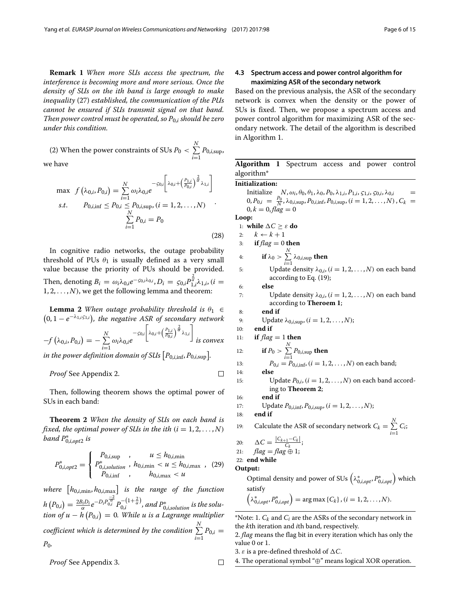**Remark 1** *When more SUs access the spectrum, the interference is becoming more and more serious. Once the density of SUs on the ith band is large enough to make inequality* [\(27\)](#page-4-1) *established, the communication of the PUs cannot be ensured if SUs transmit signal on that band. Then power control must be operated, so*  $P_{0,i}$  *should be zero under this condition.*

(2) When the power constraints of SUs  $P_0 < \sum^N$ *i*=1 *P*0,*<sup>i</sup>*,sup, we have

<span id="page-5-1"></span>
$$
\max f(\lambda_{0,i}, P_{0,i}) = \sum_{i=1}^{N} \omega_i \lambda_{0,i} e^{-S_{0,i} \left[\lambda_{0,i} + \left(\frac{P_{1,i}}{P_{0,i}}\right)^{\frac{2}{\alpha}} \lambda_{1,i}\right]}
$$
  
s.t.  $P_{0,i,\inf} \le P_{0,i} \le P_{0,i,\sup}, (i = 1, 2, ..., N)$   

$$
\sum_{i=1}^{N} P_{0,i} = P_0
$$
  
(28)

In cognitive radio networks, the outage probability threshold of PUs  $\theta_1$  is usually defined as a very small value because the priority of PUs should be provided. Then, denoting  $B_i = \omega_i \lambda_{0,i} e^{-\varsigma_{0,i}\lambda_{0,i}}$ ,  $D_i = \varsigma_{0,i} P_{1,i}^{\frac{2}{\alpha}} \lambda_{1,i}$ ,  $(i =$ 1, 2, ... , *N*), we get the following lemma and theorem:

<span id="page-5-2"></span>**Lemma 2** *When outage probability threshold is*  $\theta_1 \in$  $(0, 1 - e^{-\lambda_{1,i} \varsigma_{1,i}})$ , the negative ASR of secondary network *N*  $-\varsigma_{0,i}\left[\lambda_{0,i} + \left(\frac{P_{1,i}}{P_{0,i}}\right)^{\frac{2}{\alpha}}\lambda_{1,i}\right]$ 

$$
-f\left(\lambda_{0,i},P_{0,i}\right)=-\sum_{i=1}^N\omega_i\lambda_{0,i}e^{-S_{0,i}\left[\lambda_{0,i}^{(1)}+\left(\overline{P_{0,i}}\right)^{j}\lambda_{1,i}\right]}\text{ is convex}
$$

in the power definition domain of SUs  $[P_{0,i,\rm{inf}},P_{0,i,\rm{sup}}].$ 

```
Proof See Appendix 2.
                                                       \Box
```
Then, following theorem shows the optimal power of SUs in each band:

<span id="page-5-0"></span>**Theorem 2** *When the density of SUs on each band is fixed, the optimal power of SUs in the ith*  $(i = 1, 2, \ldots, N)$ *band P*∗ 0,*i*,*opt*<sup>2</sup> *is*

$$
P_{0,i,opt2}^{*} = \begin{cases} P_{0,i, \text{sup}} & , \quad u \leq h_{0,i, \text{min}} \\ P_{0,i, \text{solution}}^{*} & , h_{0,i, \text{min}} < u \leq h_{0,i, \text{max}} \\ P_{0,i, \text{inf}} & , \quad h_{0,i, \text{max}} < u \end{cases}
$$
 (29)

*where h*0,*<sup>i</sup>*,min, *h*0,*i*,max *is the range of the function*  $h\left(P_{0,i}\right)=\frac{2B_{i}D_{i}}{\alpha}e^{-D_{i}P_{0,i}^{\frac{-2}{\alpha}}}P_{0,i}^{-\left(1+\frac{2}{\alpha}\right)},$  and  $P_{0,i,solution}^{*}$  is the solu*tion of u* − *h P*0,*<sup>i</sup>* = 0*. While u is a Lagrange multiplier coefficient which is determined by the condition N*  $\sum_{i=1} P_{0,i} =$ *P*<sub>0</sub>*.* 

#### *Proof* See Appendix [3.](#page-13-0)

#### **4.3 Spectrum access and power control algorithm for maximizing ASR of the secondary network**

Based on the previous analysis, the ASR of the secondary network is convex when the density or the power of SUs is fixed. Then, we propose a spectrum access and power control algorithm for maximizing ASR of the secondary network. The detail of the algorithm is described in Algorithm 1.

| Algorithm 1 Spectrum access and power control |  |  |  |
|-----------------------------------------------|--|--|--|
| algorithm*                                    |  |  |  |

#### **Initialization:**

Initialize  $N$ ,  $\omega_i$ ,  $\theta_0$ ,  $\theta_1$ ,  $\lambda_0$ ,  $P_0$ ,  $\lambda_{1,i}$ ,  $P_{1,i}$ ,  $\zeta_{1,i}$ ,  $\zeta_{0,i}$ ,  $\lambda_{0,i}$  =  $0, P_{0,i} = \frac{P_0}{N}, \lambda_{0,i,\sup}, P_{0,i,\inf}, P_{0,i,\sup}, (i = 1, 2, \ldots, N)$  ,  $C_k =$  $0, k = 0, flag = 0$ **Loop:**

1: **while**  $\Delta C \ge \varepsilon$  **do**<br>2:  $k \leftarrow k+1$  $k \leftarrow k + 1$ 

$$
3: \quad \text{if } flag = 0 \text{ then}
$$

4: if 
$$
\lambda_0 > \sum_{i=1}^{N} \lambda_{0,i,\sup}
$$
 then

 $\sum_{i=1}$ 5: Update density  $\lambda_{0,i}$ , ( $i = 1, 2, ..., N$ ) on each band according to Eq. (19);

6: else  
7: Update density 
$$
\lambda_{0,i}
$$
,  $(i = 1, 2, ..., N)$  on each band  
according to **Therefore 1**:

$$
8: \qquad \text{end if}
$$

9: Update  $\lambda_{0,i, \text{sup}}, (i = 1, 2, ..., N);$ 

10: end if  
11: if 
$$
flag = 1
$$
 then

12: **if** 
$$
P_0 > \sum_{i=1}^{N} P_{0,i, \text{sup}}
$$
 **then**  
13:  $P_{0,i} = P_{0,i, \text{inf}}, (i = 1, 2, ..., N)$  on each band;  
14: **else**

15: Update  $P_{0,i}$ ,  $(i = 1, 2, ..., N)$  on each band according to **Theorem 2**;

- 16: **end if**
- 17: Update  $P_{0,i,\inf}, P_{0,i,\sup}, (i = 1, 2, ..., N);$

18: **end if**

10: **end if**

19: Calculate the ASR of secondary network 
$$
C_k = \sum_{i=1}^{N} C_i
$$
;

$$
20: \quad \Delta C = \frac{|C_{k+1}-C_k|}{C_k};
$$

$$
21: \quad flag = flag \oplus 1;
$$

22: **end while**

**Output:**

 $\Box$ 

Optimal density and power of SUs  $\left(\lambda^*_{0,i,opt}, P^*_{0,i,opt}\right)$  which satisfy

$$
\left(\lambda_{0,i,opt}^*, P_{0,i,opt}^*\right) = \arg \max \left\{C_k\right\}, (i = 1, 2, \ldots, N).
$$

\*Note: 1.  $C_k$  and  $C_i$  are the ASRs of the secondary network in the *k*th iteration and *i*th band, respectively.

2. *flag* means the flag bit in every iteration which has only the value 0 or 1.

3.  $\varepsilon$  is a pre-defined threshold of  $\Delta C$ .

4. The operational symbol "⊕" means logical XOR operation.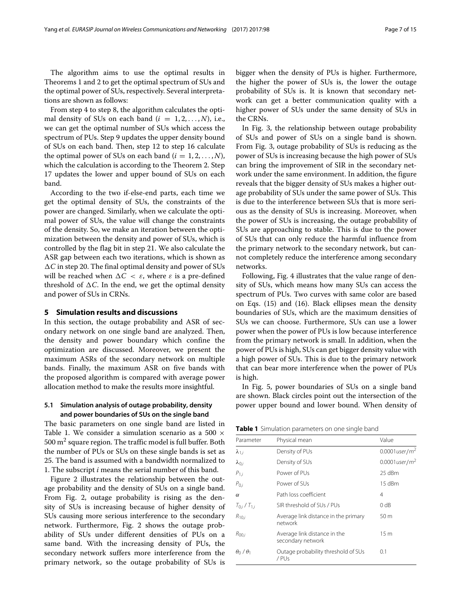The algorithm aims to use the optimal results in Theorems [1](#page-4-2) and [2](#page-5-0) to get the optimal spectrum of SUs and the optimal power of SUs, respectively. Several interpretations are shown as follows:

From step 4 to step 8, the algorithm calculates the optimal density of SUs on each band  $(i = 1, 2, \ldots, N)$ , i.e., we can get the optimal number of SUs which access the spectrum of PUs. Step 9 updates the upper density bound of SUs on each band. Then, step 12 to step 16 calculate the optimal power of SUs on each band  $(i = 1, 2, \ldots, N)$ , which the calculation is according to the Theorem 2. Step 17 updates the lower and upper bound of SUs on each band.

According to the two if-else-end parts, each time we get the optimal density of SUs, the constraints of the power are changed. Similarly, when we calculate the optimal power of SUs, the value will change the constraints of the density. So, we make an iteration between the optimization between the density and power of SUs, which is controlled by the flag bit in step 21. We also calculate the ASR gap between each two iterations, which is shown as  $\Delta C$  in step 20. The final optimal density and power of SUs will be reached when  $\Delta C < \varepsilon$ , where  $\varepsilon$  is a pre-defined threshold of  $\Delta C$ . In the end, we get the optimal density and power of SUs in CRNs.

#### <span id="page-6-0"></span>**5 Simulation results and discussions**

In this section, the outage probability and ASR of secondary network on one single band are analyzed. Then, the density and power boundary which confine the optimization are discussed. Moreover, we present the maximum ASRs of the secondary network on multiple bands. Finally, the maximum ASR on five bands with the proposed algorithm is compared with average power allocation method to make the results more insightful.

#### **5.1 Simulation analysis of outage probability, density and power boundaries of SUs on the single band**

The basic parameters on one single band are listed in Table [1.](#page-6-1) We consider a simulation scenario as a 500  $\times$ 500  $\mathrm{m}^2$  square region. The traffic model is full buffer. Both the number of PUs or SUs on these single bands is set as 25. The band is assumed with a bandwidth normalized to 1. The subscript *i* means the serial number of this band.

Figure [2](#page-7-0) illustrates the relationship between the outage probability and the density of SUs on a single band. From Fig. [2,](#page-7-0) outage probability is rising as the density of SUs is increasing because of higher density of SUs causing more serious interference to the secondary network. Furthermore, Fig. [2](#page-7-0) shows the outage probability of SUs under different densities of PUs on a same band. With the increasing density of PUs, the secondary network suffers more interference from the primary network, so the outage probability of SUs is bigger when the density of PUs is higher. Furthermore, the higher the power of SUs is, the lower the outage probability of SUs is. It is known that secondary network can get a better communication quality with a higher power of SUs under the same density of SUs in the CRNs.

In Fig. [3,](#page-7-1) the relationship between outage probability of SUs and power of SUs on a single band is shown. From Fig. [3,](#page-7-1) outage probability of SUs is reducing as the power of SUs is increasing because the high power of SUs can bring the improvement of SIR in the secondary network under the same environment. In addition, the figure reveals that the bigger density of SUs makes a higher outage probability of SUs under the same power of SUs. This is due to the interference between SUs that is more serious as the density of SUs is increasing. Moreover, when the power of SUs is increasing, the outage probability of SUs are approaching to stable. This is due to the power of SUs that can only reduce the harmful influence from the primary network to the secondary network, but cannot completely reduce the interference among secondary networks.

Following, Fig. [4](#page-8-0) illustrates that the value range of density of SUs, which means how many SUs can access the spectrum of PUs. Two curves with same color are based on Eqs. [\(15\)](#page-3-8) and [\(16\)](#page-3-9). Black ellipses mean the density boundaries of SUs, which are the maximum densities of SUs we can choose. Furthermore, SUs can use a lower power when the power of PUs is low because interference from the primary network is small. In addition, when the power of PUs is high, SUs can get bigger density value with a high power of SUs. This is due to the primary network that can bear more interference when the power of PUs is high.

In Fig. [5,](#page-8-1) power boundaries of SUs on a single band are shown. Black circles point out the intersection of the power upper bound and lower bound. When density of

<span id="page-6-1"></span>**Table 1** Simulation parameters on one single band

| Parameter             | Physical mean                                     | Value               |
|-----------------------|---------------------------------------------------|---------------------|
| $\lambda_{1,i}$       | Density of PUs                                    | 0.0001 user / $m^2$ |
| $\lambda_{0,i}$       | Density of SUs                                    | 0.0001 user / $m^2$ |
| $P_{1,i}$             | Power of PUs                                      | 25 dBm              |
| $P_{0,i}$             | Power of SUs                                      | 15 dBm              |
| α                     | Path loss coefficient                             | $\overline{4}$      |
| $T_{0,i}$ / $T_{1,i}$ | SIR threshold of SUs / PUs                        | 0 dB                |
| $R_{10,i}$            | Average link distance in the primary<br>network   | 50 m                |
| R <sub>00.i</sub>     | Average link distance in the<br>secondary network | 15 <sub>m</sub>     |
| $\theta_0/\theta_1$   | Outage probability threshold of SUs<br>/ PUs      | 0.1                 |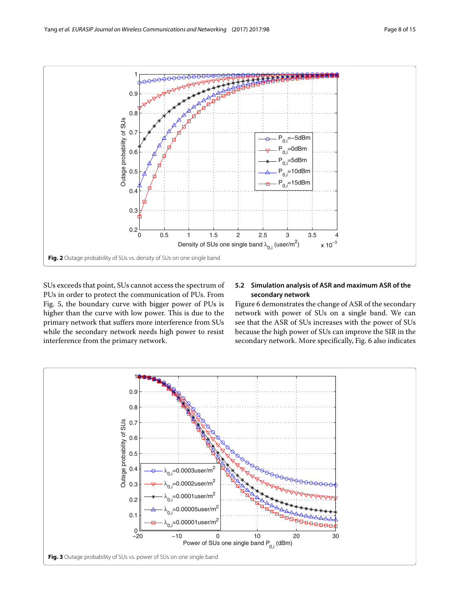

<span id="page-7-0"></span>SUs exceeds that point, SUs cannot access the spectrum of PUs in order to protect the communication of PUs. From Fig. [5,](#page-8-1) the boundary curve with bigger power of PUs is higher than the curve with low power. This is due to the primary network that suffers more interference from SUs while the secondary network needs high power to resist interference from the primary network.

#### **5.2 Simulation analysis of ASR and maximum ASR of the secondary network**

Figure [6](#page-9-0) demonstrates the change of ASR of the secondary network with power of SUs on a single band. We can see that the ASR of SUs increases with the power of SUs because the high power of SUs can improve the SIR in the secondary network. More specifically, Fig. [6](#page-9-0) also indicates

<span id="page-7-1"></span>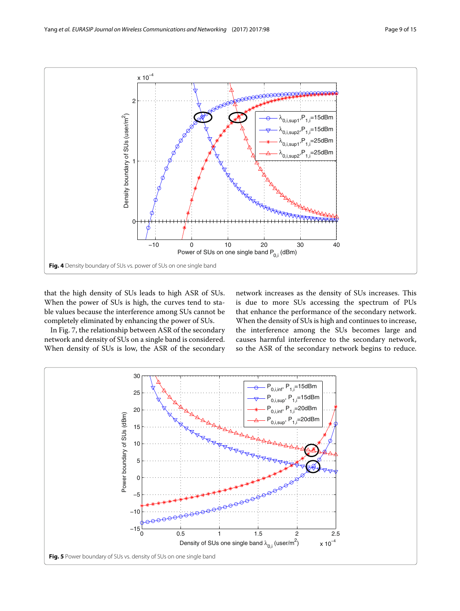

<span id="page-8-0"></span>that the high density of SUs leads to high ASR of SUs. When the power of SUs is high, the curves tend to stable values because the interference among SUs cannot be completely eliminated by enhancing the power of SUs.

In Fig. [7,](#page-9-1) the relationship between ASR of the secondary network and density of SUs on a single band is considered. When density of SUs is low, the ASR of the secondary network increases as the density of SUs increases. This is due to more SUs accessing the spectrum of PUs that enhance the performance of the secondary network. When the density of SUs is high and continues to increase, the interference among the SUs becomes large and causes harmful interference to the secondary network, so the ASR of the secondary network begins to reduce.

<span id="page-8-1"></span>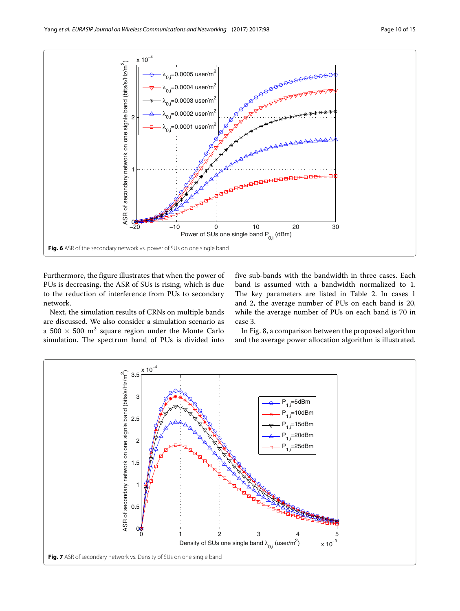<span id="page-9-0"></span>Furthermore, the figure illustrates that when the power of PUs is decreasing, the ASR of SUs is rising, which is due to the reduction of interference from PUs to secondary network.

Next, the simulation results of CRNs on multiple bands are discussed. We also consider a simulation scenario as a 500  $\times$  500 m<sup>2</sup> square region under the Monte Carlo simulation. The spectrum band of PUs is divided into and 2, the average number of PUs on each band is 20, while the average number of PUs on each band is 70 in case 3.

five sub-bands with the bandwidth in three cases. Each band is assumed with a bandwidth normalized to 1. The key parameters are listed in Table [2.](#page-11-1) In cases 1

In Fig. [8,](#page-10-0) a comparison between the proposed algorithm and the average power allocation algorithm is illustrated.

<span id="page-9-1"></span>

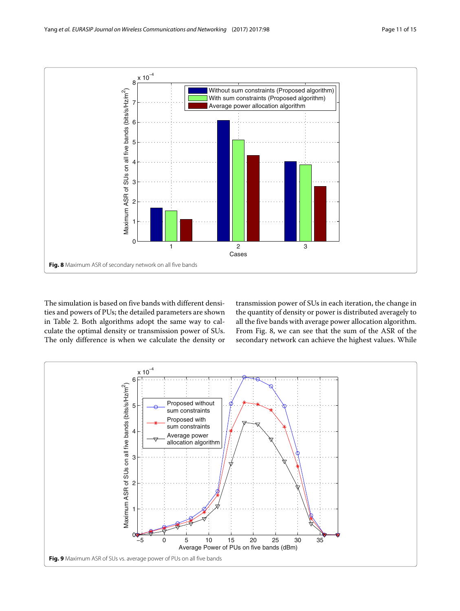

<span id="page-10-0"></span>The simulation is based on five bands with different densities and powers of PUs; the detailed parameters are shown in Table [2.](#page-11-1) Both algorithms adopt the same way to calculate the optimal density or transmission power of SUs. The only difference is when we calculate the density or

transmission power of SUs in each iteration, the change in the quantity of density or power is distributed averagely to all the five bands with average power allocation algorithm. From Fig. [8,](#page-10-0) we can see that the sum of the ASR of the secondary network can achieve the highest values. While

<span id="page-10-1"></span>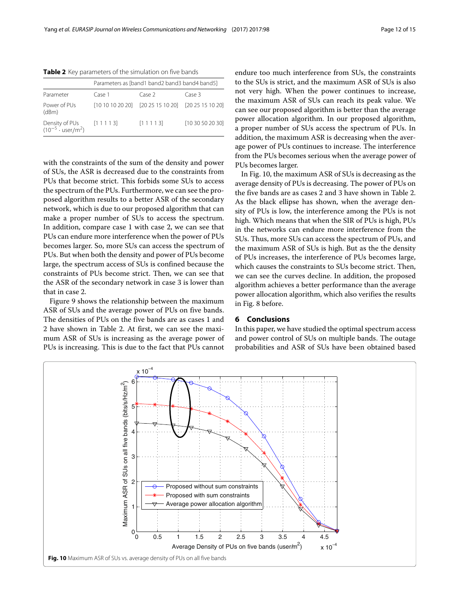<span id="page-11-1"></span>**Table 2** Key parameters of the simulation on five bands

|                                                             | Parameters as [band1 band2 band3 band4 band5] |                                   |                  |  |  |  |
|-------------------------------------------------------------|-----------------------------------------------|-----------------------------------|------------------|--|--|--|
| Parameter                                                   | Case 1                                        | Case 2                            | Case 3           |  |  |  |
| Power of PUs<br>(dBm)                                       | [10 10 10 20 20]                              | [20 25 15 10 20] [20 25 15 10 20] |                  |  |  |  |
| Density of PUs<br>(10 <sup>-5</sup> · user/m <sup>2</sup> ) | [11113]                                       | [11113]                           | [10 30 50 20 30] |  |  |  |

with the constraints of the sum of the density and power of SUs, the ASR is decreased due to the constraints from PUs that become strict. This forbids some SUs to access the spectrum of the PUs. Furthermore, we can see the proposed algorithm results to a better ASR of the secondary network, which is due to our proposed algorithm that can make a proper number of SUs to access the spectrum. In addition, compare case 1 with case 2, we can see that PUs can endure more interference when the power of PUs becomes larger. So, more SUs can access the spectrum of PUs. But when both the density and power of PUs become large, the spectrum access of SUs is confined because the constraints of PUs become strict. Then, we can see that the ASR of the secondary network in case 3 is lower than that in case 2.

Figure [9](#page-10-1) shows the relationship between the maximum ASR of SUs and the average power of PUs on five bands. The densities of PUs on the five bands are as cases 1 and 2 have shown in Table [2.](#page-11-1) At first, we can see the maximum ASR of SUs is increasing as the average power of PUs is increasing. This is due to the fact that PUs cannot

endure too much interference from SUs, the constraints to the SUs is strict, and the maximum ASR of SUs is also not very high. When the power continues to increase, the maximum ASR of SUs can reach its peak value. We can see our proposed algorithm is better than the average power allocation algorithm. In our proposed algorithm, a proper number of SUs access the spectrum of PUs. In addition, the maximum ASR is decreasing when the average power of PUs continues to increase. The interference from the PUs becomes serious when the average power of PUs becomes larger.

In Fig. [10,](#page-11-2) the maximum ASR of SUs is decreasing as the average density of PUs is decreasing. The power of PUs on the five bands are as cases 2 and 3 have shown in Table [2.](#page-11-1) As the black ellipse has shown, when the average density of PUs is low, the interference among the PUs is not high. Which means that when the SIR of PUs is high, PUs in the networks can endure more interference from the SUs. Thus, more SUs can access the spectrum of PUs, and the maximum ASR of SUs is high. But as the the density of PUs increases, the interference of PUs becomes large, which causes the constraints to SUs become strict. Then, we can see the curves decline. In addition, the proposed algorithm achieves a better performance than the average power allocation algorithm, which also verifies the results in Fig. [8](#page-10-0) before.

#### <span id="page-11-0"></span>**6 Conclusions**

In this paper, we have studied the optimal spectrum access and power control of SUs on multiple bands. The outage probabilities and ASR of SUs have been obtained based

<span id="page-11-2"></span>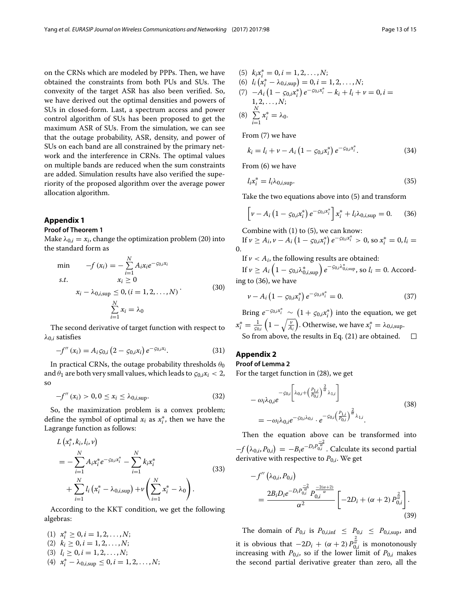on the CRNs which are modeled by PPPs. Then, we have obtained the constraints from both PUs and SUs. The convexity of the target ASR has also been verified. So, we have derived out the optimal densities and powers of SUs in closed-form. Last, a spectrum access and power control algorithm of SUs has been proposed to get the maximum ASR of SUs. From the simulation, we can see that the outage probability, ASR, density, and power of SUs on each band are all constrained by the primary network and the interference in CRNs. The optimal values on multiple bands are reduced when the sum constraints are added. Simulation results have also verified the superiority of the proposed algorithm over the average power allocation algorithm.

#### <span id="page-12-0"></span>**Appendix 1**

#### **Proof of Theorem 1**

Make  $\lambda_{0,i} = x_i$ , change the optimization problem (20) into the standard form as

$$
\min \qquad -f(x_i) = -\sum_{i=1}^{N} A_i x_i e^{-\zeta_{0,i} x_i}
$$
\n
$$
s.t. \qquad x_i \ge 0
$$
\n
$$
x_i - \lambda_{0,i, \sup} \le 0, (i = 1, 2, ..., N)
$$
\n
$$
\sum_{i=1}^{N} x_i = \lambda_0
$$
\n(30)

The second derivative of target function with respect to  $\lambda_{0,i}$  satisfies

$$
-f''(x_i) = A_i \varsigma_{0,i} \left(2 - \varsigma_{0,i} x_i\right) e^{-\varsigma_{0,i} x_i}.
$$
 (31)

In practical CRNs, the outage probability thresholds  $\theta_0$ and  $\theta_1$  are both very small values, which leads to  $\zeta_{0,i}x_i < 2$ , so

$$
-f''(x_i) > 0, 0 \le x_i \le \lambda_{0,i, \sup}.
$$
 (32)

So, the maximization problem is a convex problem; define the symbol of optimal  $x_i$  as  $x_i^*$ , then we have the Lagrange function as follows:

$$
L(x_i^*, k_i, l_i, v)
$$
  
=  $-\sum_{i=1}^N A_i x_i^* e^{-\varsigma_{0,i} x_i^*} - \sum_{i=1}^N k_i x_i^*$   
+  $\sum_{i=1}^N l_i (x_i^* - \lambda_{0,i, \sup}) + v \left( \sum_{i=1}^N x_i^* - \lambda_0 \right).$  (33)

According to the KKT condition, we get the following algebras:

(1) 
$$
x_i^* \ge 0, i = 1, 2, ..., N;
$$
  
\n(2)  $k_i \ge 0, i = 1, 2, ..., N;$   
\n(3)  $l_i \ge 0, i = 1, 2, ..., N;$   
\n(4)  $x_i^* - \lambda_{0,i, \text{sup}} \le 0, i = 1, 2, ..., N;$ 

(5) 
$$
k_i x_i^* = 0, i = 1, 2, ..., N;
$$
  
\n(6)  $l_i (x_i^* - \lambda_{0,i,\text{sup}}) = 0, i = 1, 2, ..., N;$   
\n(7)  $-A_i (1 - S_{0,i} x_i^*) e^{-S_{0,i} x_i^*} - k_i + l_i + \nu = 0, i = 1, 2, ..., N;$   
\n(8)  $\sum_{i=1}^N x_i^* = \lambda_0.$ 

From (7) we have

$$
k_i = l_i + \nu - A_i \left( 1 - \zeta_{0,i} x_i^* \right) e^{-\zeta_{0,i} x_i^*}. \tag{34}
$$

From (6) we have

<span id="page-12-2"></span>
$$
l_i x_i^* = l_i \lambda_{0,i,\text{sup}}.\tag{35}
$$

Take the two equations above into (5) and transform

$$
\[v - A_i \left(1 - \zeta_{0,i} x_i^*\right) e^{-\zeta_{0,i} x_i^*} \] x_i^* + l_i \lambda_{0,i,\sup} = 0. \tag{36}
$$

Combine with (1) to (5), we can know:

If  $\nu \ge A_i$ ,  $\nu - A_i \left(1 - \zeta_{0,i} x_i^*\right) e^{-\zeta_{0,i} x_i^*} > 0$ , so  $x_i^* = 0$ ,  $l_i =$  $\Omega$ .

If  $v < A_i$ , the following results are obtained:

If  $\nu \geq A_i \left(1 - \zeta_{0,i} \lambda_{0,i,\sup}^* \right) e^{-\zeta_{0,i} \lambda_{0,i,\sup}^*}$ , so  $l_i = 0$ . According to [\(36\)](#page-12-2), we have

$$
\nu - A_i \left( 1 - \zeta_{0,i} x_i^* \right) e^{-\zeta_{0,i} x_i^*} = 0. \tag{37}
$$

Bring  $e^{-\varsigma_{0,i}x_i^*} \sim (1+\varsigma_{0,i}x_i^*)$  into the equation, we get  $x_i^* = \frac{1}{\varsigma_{0,i}} \left( 1 - \sqrt{\frac{\nu}{A_i}} \right)$ . Otherwise, we have  $x_i^* = \lambda_{0,i,\mathrm{sup}}.$ So from above, the results in Eq. [\(21\)](#page-4-3) are obtained.  $\Box$ 

#### <span id="page-12-1"></span>**Appendix 2**

#### **Proof of Lemma 2**

For the target function in [\(28\)](#page-5-1), we get

$$
- \omega_i \lambda_{0,i} e^{-\zeta_{0,i} \left[ \lambda_{0,i} + \left( \frac{P_{1,i}}{P_{0,i}} \right)^{\frac{2}{\alpha}} \lambda_{1,i} \right]}
$$
  
= 
$$
- \omega_i \lambda_{0,i} e^{-\zeta_{0,i} \lambda_{0,i}} \cdot e^{-\zeta_{0,i} \left( \frac{P_{1,i}}{P_{0,i}} \right)^{\frac{2}{\alpha}} \lambda_{1,i}}.
$$
 (38)

Then the equation above can be transformed into  $-f\left(\lambda_{0,i},P_{0,i}\right) = -B_i e^{-D_i P_{0,i}^{\frac{-2}{\alpha}}}.$  Calculate its second partial derivative with respective to  $P_{0,i}$ . We get

$$
-f''\left(\lambda_{0,i}, P_{0,i}\right)
$$
  
= 
$$
\frac{2B_i D_i e^{-D_i P_{0,i}^{\frac{-2}{\alpha}}} P_{0,i}^{\frac{-2(\alpha+2)}{\alpha}}}{\alpha^2} \left[ -2D_i + (\alpha+2) P_{0,i}^{\frac{2}{\alpha}} \right].
$$
 (39)

The domain of  $P_{0,i}$  is  $P_{0,i,inf} \leq P_{0,i} \leq P_{0,i,sup}$ , and it is obvious that  $-2D_i + (\alpha + 2) P_{0,i}^{\frac{2}{\alpha}}$  is monotonously increasing with  $P_{0,i}$ , so if the lower limit of  $P_{0,i}$  makes the second partial derivative greater than zero, all the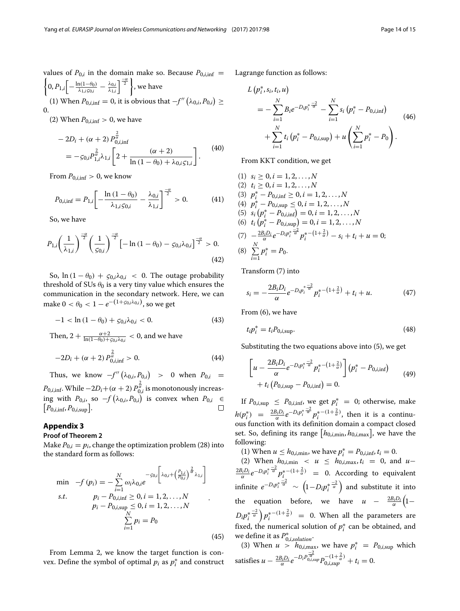values of  $P_{0,i}$  in the domain make so. Because  $P_{0,i,inf}$  =  $0, P_{1,i}\left[-\frac{\ln(1-\theta_0)}{\lambda_{1,i}\varsigma_{0,i}}-\frac{\lambda_{0,i}}{\lambda_{1,i}}\right]^{\frac{-\alpha}{2}}\bigg\},$  we have (1) When  $P_{0,i,\inf} = 0$ , it is obvious that  $-f''\left(λ_{0,i}, P_{0,i}\right) ≥$ 0.

(2) When  $P_{0,i,\text{inf}} > 0$ , we have

$$
- 2D_i + (\alpha + 2) P_{0,i,\inf}^{\frac{2}{\alpha}} = -\varsigma_{0,i} P_{1,i}^{\frac{2}{\alpha}} \lambda_{1,i} \left[ 2 + \frac{(\alpha + 2)}{\ln(1 - \theta_0) + \lambda_{0,i} \varsigma_{1,i}} \right].
$$
 (40)

From  $P_{0,i,\text{inf}} > 0$ , we know

$$
P_{0,i,\inf} = P_{1,i} \bigg[ -\frac{\ln\left(1-\theta_0\right)}{\lambda_{1,i} \zeta_{0,i}} - \frac{\lambda_{0,i}}{\lambda_{1,i}} \bigg]^{\frac{-\alpha}{2}} > 0. \tag{41}
$$

So, we have

$$
P_{1,i}\left(\frac{1}{\lambda_{1,i}}\right)^{\frac{-\alpha}{2}}\left(\frac{1}{50,i}\right)^{\frac{-\alpha}{2}}\left[-\ln\left(1-\theta_{0}\right)-50,i\lambda_{0,i}\right]^{\frac{-\alpha}{2}}>0.
$$
\n(42)

So,  $\ln (1 - \theta_0) + \zeta_{0,i} \lambda_{0,i} < 0$ . The outage probability threshold of SUs  $\theta_0$  is a very tiny value which ensures the communication in the secondary network. Here, we can make 0 <  $\theta_0$  < 1 −  $e^{-(1 + \varsigma_{0,i} \lambda_{0,i})}$ , so we get

$$
-1 < \ln\left(1 - \theta_0\right) + \zeta_{0,i}\lambda_{0,i} < 0. \tag{43}
$$

Then,  $2 + \frac{\alpha+2}{\ln(1-\theta_0)+\varsigma_{0,i}\lambda_{0,i}} < 0$ , and we have

$$
-2D_i + (\alpha + 2) P_{0,i,\inf}^{\frac{2}{\alpha}} > 0.
$$
 (44)

Thus, we know  $-f''(\lambda_{0,i}, P_{0,i}) > 0$  when  $P_{0,i} =$  $P_{0,i,\rm inf}$ . While  $-2D_i + (\alpha+2) \, P_{0,i}^{\frac{2}{\alpha}}$  is monotonously increasing with  $P_{0,i}$ , so  $-f\left(\lambda_{0,i}, P_{0,i}\right)$  is convex when  $P_{0,i}$  ∈  $[P_{0,i,inf}, P_{0,i,sup}].$ 

#### <span id="page-13-0"></span>**Appendix 3**

#### **Proof of Theorem 2**

Make  $P_{0,i} = p_i$ , change the optimization problem [\(28\)](#page-5-1) into the standard form as follows:

$$
\min \quad -f(p_i) = -\sum_{i=1}^{N} \omega_i \lambda_{0,i} e^{-S_{0,i} \left[ \lambda_{0,i} + \left( \frac{P_{1,i}}{P_{0,i}} \right)^{\frac{2}{\alpha}} \lambda_{1,i} \right]} \\
 s.t. \quad p_i - P_{0,i,\inf} \ge 0, i = 1, 2, ..., N \\
 p_i - P_{0,i,\sup} \le 0, i = 1, 2, ..., N \\
 \sum_{i=1}^{N} p_i = P_0\n \tag{45}
$$

From Lemma [2,](#page-5-2) we know the target function is convex. Define the symbol of optimal  $p_i$  as  $p_i^*$  and construct

Lagrange function as follows:

$$
L (p_i^*, s_i, t_i, u)
$$
  
=  $-\sum_{i=1}^N B_i e^{-D_i p_i^* \frac{-2}{\alpha}} - \sum_{i=1}^N s_i (p_i^* - P_{0,i,\inf})$   
+  $\sum_{i=1}^N t_i (p_i^* - P_{0,i,\sup}) + u \left( \sum_{i=1}^N p_i^* - P_0 \right).$  (46)

From KKT condition, we get

 $(1)$   $s_i \geq 0, i = 1, 2, \ldots, N$  $(2)$   $t_i \geq 0, i = 1, 2, \ldots, N$ (3)  $p_i^* - P_{0,i,\inf} \geq 0, i = 1, 2, ..., N$  $p_i^* - P_{0,i,\text{sup}} \leq 0, i = 1,2,\ldots,N$ (5)  $s_i (p_i^* - P_{0,i,\text{inf}}) = 0, i = 1, 2, ..., N$ (6)  $t_i (p_i^* - P_{0,i, \text{sup}}) = 0, i = 1, 2, ..., N$  $(7)$   $-\frac{2B_iD_i}{\alpha}e^{-D_i p_i^* \frac{-\alpha}{\alpha}} p_i^* - (1 + \frac{2}{\alpha}) - s_i + t_i + u = 0;$ (8)  $\sum_{i=1}^{N}$ *i*=1  $p_i^* = P_0.$ 

Transform (7) into

$$
s_i = -\frac{2B_i D_i}{\alpha} e^{-D_i p_i^{* \frac{-2}{\alpha}}} p_i^{* - (1 + \frac{2}{\alpha})} + t_i + u.
$$
 (47)

From (6), we have

$$
t_i p_i^* = t_i P_{0,i,\text{sup}}.\tag{48}
$$

Substituting the two equations above into (5), we get

$$
\left[ u - \frac{2B_i D_i}{\alpha} e^{-D_i p_i^* \frac{-2}{\alpha}} p_i^{* - (1 + \frac{2}{\alpha})} \right] (p_i^* - P_{0,i, \inf})
$$
  
+  $t_i (P_{0,i, \sup} - P_{0,i, \inf}) = 0.$  (49)

If  $P_{0,i,\text{sup}} \leq P_{0,i,\text{inf}}$ , we get  $p_i^* = 0$ ; otherwise, make  $h(p_i^*) = \frac{2B_i D_i}{\alpha} e^{-D_i p_i^* \frac{-2}{\alpha}} p_i^{*-(1+\frac{2}{\alpha})}$ , then it is a continu- $\mu(\mu_i) = \frac{d}{\alpha} e^{-\lambda_i} \mu_i$  , then it is a commu-<br>ous function with its definition domain a compact closed set. So, defining its range *h*0,*<sup>i</sup>*,min, *h*0,*i*,max , we have the following:

(1) When  $u \leq h_{0,i,\text{min}}$ , we have  $p_i^* = P_{0,i,\text{inf}}$ ,  $t_i = 0$ . (2) When  $h_{0,i,\text{min}} < u \le h_{0,i,\text{max}}$ ,  $t_i = 0$ , and  $u \frac{2B_iD_i}{\alpha}e^{-D_i p_i^* \frac{-2}{\alpha}}p_i^*^{-(1+\frac{2}{\alpha})} = 0$ . According to equivalent infinite  $e^{-D_i p_i^* \frac{-2}{\alpha}}$  ∼  $(1 - D_i p_i^*$  $\frac{-2}{\alpha}$ ) and substitute it into the equation before, we have  $u - \frac{2B_iD_i}{\alpha} \Big( 1 D_i p_i^*$  $\left(\frac{-2}{\alpha}\right)p_i^{*- (1+\frac{2}{\alpha})}$  = 0. When all the parameters are fixed, the numerical solution of  $p_i^*$  can be obtained, and we define it as *P*∗ 0,*i*,*solution*.

(3) When  $u > h_{0,i,\text{max}}$ , we have  $p_i^* = P_{0,i,\text{sup}}$  which satisfies  $u - \frac{2B_i D_i}{\alpha} e^{-D_i P_{0,i,sup}^{\frac{-2}{\alpha}}} P_{0,i,sup}^{-(1+\frac{2}{\alpha})} + t_i = 0.$